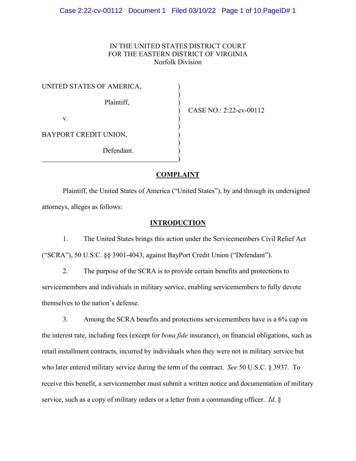# IN THE UNITED STATES DISTRICT COURT FOR THE EASTERN DISTRICT OF VIRGINIA Norfolk Division

) CASE NO.: 2:22-cv-00112

# **COMPLAINT**

Plaintiff, the United States of America ("United States"), by and through its undersigned attorneys, alleges as follows:

# **INTRODUCTION**

1. The United States brings this action under the Servicemembers Civil Relief Act ("SCRA"), 50 U.S.C. §§ 3901-4043, against BayPort Credit Union ("Defendant").

2. The purpose of the SCRA is to provide certain benefits and protections to servicemembers and individuals in military service, enabling servicemembers to fully devote themselves to the nation's defense.

3. Among the SCRA benefits and protections servicemembers have is a 6% cap on the interest rate, including fees (except for *bona fide* insurance), on financial obligations, such as retail installment contracts, incurred by individuals when they were not in military service but who later entered military service during the term of the contract. *See* 50 U.S.C. § 3937. To receive this benefit, a servicemember must submit a written notice and documentation of military service, such as a copy of military orders or a letter from a commanding officer. *Id*. §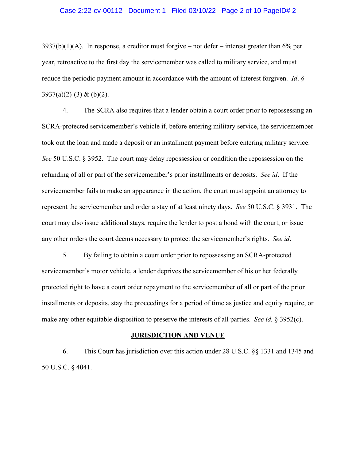#### Case 2:22-cv-00112 Document 1 Filed 03/10/22 Page 2 of 10 PageID# 2

 $3937(b)(1)(A)$ . In response, a creditor must forgive – not defer – interest greater than 6% per year, retroactive to the first day the servicemember was called to military service, and must reduce the periodic payment amount in accordance with the amount of interest forgiven. *Id*. §  $3937(a)(2)-(3)$  & (b)(2).

4. The SCRA also requires that a lender obtain a court order prior to repossessing an SCRA-protected servicemember's vehicle if, before entering military service, the servicemember took out the loan and made a deposit or an installment payment before entering military service. *See* 50 U.S.C. § 3952. The court may delay repossession or condition the repossession on the refunding of all or part of the servicemember's prior installments or deposits. *See id*. If the servicemember fails to make an appearance in the action, the court must appoint an attorney to represent the servicemember and order a stay of at least ninety days. *See* 50 U.S.C. § 3931. The court may also issue additional stays, require the lender to post a bond with the court, or issue any other orders the court deems necessary to protect the servicemember's rights. *See id*.

5. By failing to obtain a court order prior to repossessing an SCRA-protected servicemember's motor vehicle, a lender deprives the servicemember of his or her federally protected right to have a court order repayment to the servicemember of all or part of the prior installments or deposits, stay the proceedings for a period of time as justice and equity require, or make any other equitable disposition to preserve the interests of all parties. *See id.* § 3952(c).

#### **JURISDICTION AND VENUE**

6. This Court has jurisdiction over this action under 28 U.S.C. §§ 1331 and 1345 and 50 U.S.C. § 4041.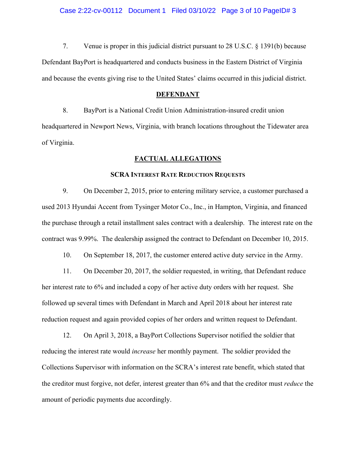#### Case 2:22-cv-00112 Document 1 Filed 03/10/22 Page 3 of 10 PageID# 3

7. Venue is proper in this judicial district pursuant to 28 U.S.C. § 1391(b) because Defendant BayPort is headquartered and conducts business in the Eastern District of Virginia and because the events giving rise to the United States' claims occurred in this judicial district.

#### **DEFENDANT**

8. BayPort is a National Credit Union Administration-insured credit union headquartered in Newport News, Virginia, with branch locations throughout the Tidewater area of Virginia.

## **FACTUAL ALLEGATIONS**

## **SCRA INTEREST RATE REDUCTION REQUESTS**

9. On December 2, 2015, prior to entering military service, a customer purchased a used 2013 Hyundai Accent from Tysinger Motor Co., Inc., in Hampton, Virginia, and financed the purchase through a retail installment sales contract with a dealership. The interest rate on the contract was 9.99%. The dealership assigned the contract to Defendant on December 10, 2015.

10. On September 18, 2017, the customer entered active duty service in the Army.

11. On December 20, 2017, the soldier requested, in writing, that Defendant reduce her interest rate to 6% and included a copy of her active duty orders with her request. She followed up several times with Defendant in March and April 2018 about her interest rate reduction request and again provided copies of her orders and written request to Defendant.

12. On April 3, 2018, a BayPort Collections Supervisor notified the soldier that reducing the interest rate would *increase* her monthly payment. The soldier provided the Collections Supervisor with information on the SCRA's interest rate benefit, which stated that the creditor must forgive, not defer, interest greater than 6% and that the creditor must *reduce* the amount of periodic payments due accordingly.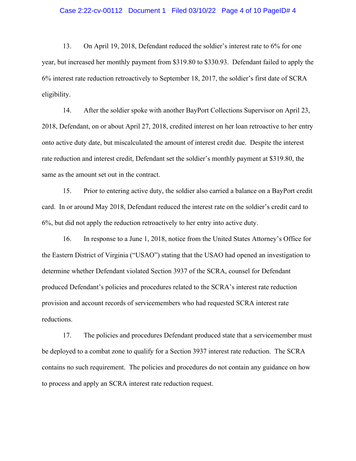#### Case 2:22-cv-00112 Document 1 Filed 03/10/22 Page 4 of 10 PageID# 4

13. On April 19, 2018, Defendant reduced the soldier's interest rate to 6% for one year, but increased her monthly payment from \$319.80 to \$330.93. Defendant failed to apply the 6% interest rate reduction retroactively to September 18, 2017, the soldier's first date of SCRA eligibility.

14. After the soldier spoke with another BayPort Collections Supervisor on April 23, 2018, Defendant, on or about April 27, 2018, credited interest on her loan retroactive to her entry onto active duty date, but miscalculated the amount of interest credit due. Despite the interest rate reduction and interest credit, Defendant set the soldier's monthly payment at \$319.80, the same as the amount set out in the contract.

15. Prior to entering active duty, the soldier also carried a balance on a BayPort credit card. In or around May 2018, Defendant reduced the interest rate on the soldier's credit card to 6%, but did not apply the reduction retroactively to her entry into active duty.

16. In response to a June 1, 2018, notice from the United States Attorney's Office for the Eastern District of Virginia ("USAO") stating that the USAO had opened an investigation to determine whether Defendant violated Section 3937 of the SCRA, counsel for Defendant produced Defendant's policies and procedures related to the SCRA's interest rate reduction provision and account records of servicemembers who had requested SCRA interest rate reductions.

17. The policies and procedures Defendant produced state that a servicemember must be deployed to a combat zone to qualify for a Section 3937 interest rate reduction. The SCRA contains no such requirement. The policies and procedures do not contain any guidance on how to process and apply an SCRA interest rate reduction request.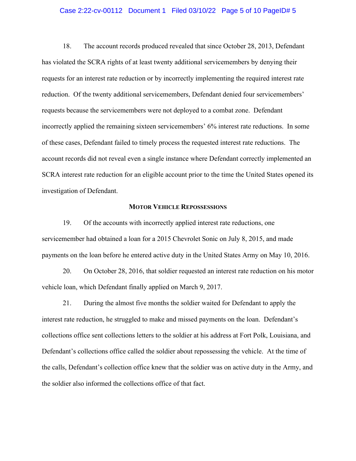### Case 2:22-cv-00112 Document 1 Filed 03/10/22 Page 5 of 10 PageID# 5

18. The account records produced revealed that since October 28, 2013, Defendant has violated the SCRA rights of at least twenty additional servicemembers by denying their requests for an interest rate reduction or by incorrectly implementing the required interest rate reduction. Of the twenty additional servicemembers, Defendant denied four servicemembers' requests because the servicemembers were not deployed to a combat zone. Defendant incorrectly applied the remaining sixteen servicemembers' 6% interest rate reductions. In some of these cases, Defendant failed to timely process the requested interest rate reductions. The account records did not reveal even a single instance where Defendant correctly implemented an SCRA interest rate reduction for an eligible account prior to the time the United States opened its investigation of Defendant.

### **MOTOR VEHICLE REPOSSESSIONS**

19. Of the accounts with incorrectly applied interest rate reductions, one servicemember had obtained a loan for a 2015 Chevrolet Sonic on July 8, 2015, and made payments on the loan before he entered active duty in the United States Army on May 10, 2016.

20. On October 28, 2016, that soldier requested an interest rate reduction on his motor vehicle loan, which Defendant finally applied on March 9, 2017.

21. During the almost five months the soldier waited for Defendant to apply the interest rate reduction, he struggled to make and missed payments on the loan. Defendant's collections office sent collections letters to the soldier at his address at Fort Polk, Louisiana, and Defendant's collections office called the soldier about repossessing the vehicle. At the time of the calls, Defendant's collection office knew that the soldier was on active duty in the Army, and the soldier also informed the collections office of that fact.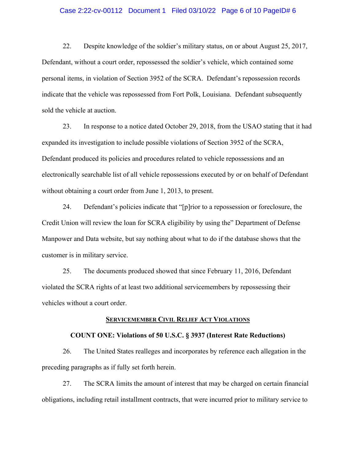## Case 2:22-cv-00112 Document 1 Filed 03/10/22 Page 6 of 10 PageID# 6

22. Despite knowledge of the soldier's military status, on or about August 25, 2017, Defendant, without a court order, repossessed the soldier's vehicle, which contained some personal items, in violation of Section 3952 of the SCRA. Defendant's repossession records indicate that the vehicle was repossessed from Fort Polk, Louisiana. Defendant subsequently sold the vehicle at auction.

23. In response to a notice dated October 29, 2018, from the USAO stating that it had expanded its investigation to include possible violations of Section 3952 of the SCRA, Defendant produced its policies and procedures related to vehicle repossessions and an electronically searchable list of all vehicle repossessions executed by or on behalf of Defendant without obtaining a court order from June 1, 2013, to present.

24. Defendant's policies indicate that "[p]rior to a repossession or foreclosure, the Credit Union will review the loan for SCRA eligibility by using the" Department of Defense Manpower and Data website, but say nothing about what to do if the database shows that the customer is in military service.

25. The documents produced showed that since February 11, 2016, Defendant violated the SCRA rights of at least two additional servicemembers by repossessing their vehicles without a court order.

# **SERVICEMEMBER CIVIL RELIEF ACT VIOLATIONS**

#### **COUNT ONE: Violations of 50 U.S.C. § 3937 (Interest Rate Reductions)**

26. The United States realleges and incorporates by reference each allegation in the preceding paragraphs as if fully set forth herein.

27. The SCRA limits the amount of interest that may be charged on certain financial obligations, including retail installment contracts, that were incurred prior to military service to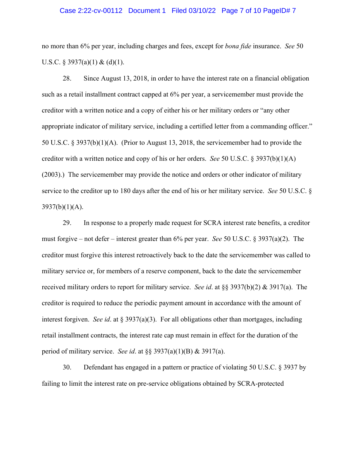#### Case 2:22-cv-00112 Document 1 Filed 03/10/22 Page 7 of 10 PageID# 7

no more than 6% per year, including charges and fees, except for *bona fide* insurance. *See* 50 U.S.C. § 3937(a)(1) & (d)(1).

28. Since August 13, 2018, in order to have the interest rate on a financial obligation such as a retail installment contract capped at 6% per year, a servicemember must provide the creditor with a written notice and a copy of either his or her military orders or "any other appropriate indicator of military service, including a certified letter from a commanding officer." 50 U.S.C. § 3937(b)(1)(A). (Prior to August 13, 2018, the servicemember had to provide the creditor with a written notice and copy of his or her orders. *See* 50 U.S.C. § 3937(b)(1)(A) (2003).) The servicemember may provide the notice and orders or other indicator of military service to the creditor up to 180 days after the end of his or her military service. *See* 50 U.S.C. §  $3937(b)(1)(A)$ .

29. In response to a properly made request for SCRA interest rate benefits, a creditor must forgive – not defer – interest greater than 6% per year. *See* 50 U.S.C. § 3937(a)(2). The creditor must forgive this interest retroactively back to the date the servicemember was called to military service or, for members of a reserve component, back to the date the servicemember received military orders to report for military service. *See id*. at §§ 3937(b)(2) & 3917(a). The creditor is required to reduce the periodic payment amount in accordance with the amount of interest forgiven. *See id*. at § 3937(a)(3). For all obligations other than mortgages, including retail installment contracts, the interest rate cap must remain in effect for the duration of the period of military service. *See id*. at §§ 3937(a)(1)(B) & 3917(a).

30. Defendant has engaged in a pattern or practice of violating 50 U.S.C. § 3937 by failing to limit the interest rate on pre-service obligations obtained by SCRA-protected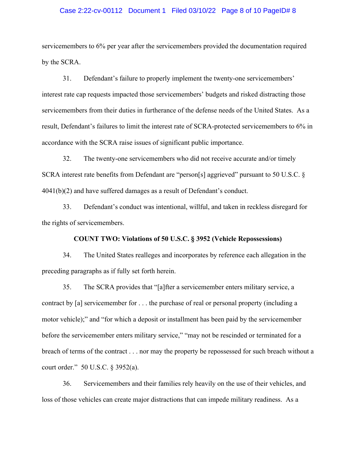#### Case 2:22-cv-00112 Document 1 Filed 03/10/22 Page 8 of 10 PageID# 8

servicemembers to 6% per year after the servicemembers provided the documentation required by the SCRA.

31. Defendant's failure to properly implement the twenty-one servicemembers' interest rate cap requests impacted those servicemembers' budgets and risked distracting those servicemembers from their duties in furtherance of the defense needs of the United States. As a result, Defendant's failures to limit the interest rate of SCRA-protected servicemembers to 6% in accordance with the SCRA raise issues of significant public importance.

32. The twenty-one servicemembers who did not receive accurate and/or timely SCRA interest rate benefits from Defendant are "person[s] aggrieved" pursuant to 50 U.S.C. § 4041(b)(2) and have suffered damages as a result of Defendant's conduct.

33. Defendant's conduct was intentional, willful, and taken in reckless disregard for the rights of servicemembers.

# **COUNT TWO: Violations of 50 U.S.C. § 3952 (Vehicle Repossessions)**

34. The United States realleges and incorporates by reference each allegation in the preceding paragraphs as if fully set forth herein.

35. The SCRA provides that "[a]fter a servicemember enters military service, a contract by [a] servicemember for . . . the purchase of real or personal property (including a motor vehicle);" and "for which a deposit or installment has been paid by the servicemember before the servicemember enters military service," "may not be rescinded or terminated for a breach of terms of the contract . . . nor may the property be repossessed for such breach without a court order." 50 U.S.C. § 3952(a).

36. Servicemembers and their families rely heavily on the use of their vehicles, and loss of those vehicles can create major distractions that can impede military readiness. As a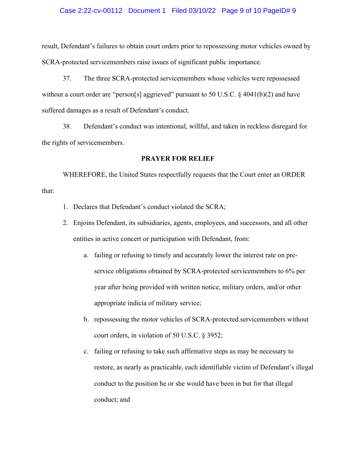### Case 2:22-cv-00112 Document 1 Filed 03/10/22 Page 9 of 10 PageID# 9

result, Defendant's failures to obtain court orders prior to repossessing motor vehicles owned by SCRA-protected servicemembers raise issues of significant public importance.

37. The three SCRA-protected servicemembers whose vehicles were repossessed without a court order are "person[s] aggrieved" pursuant to 50 U.S.C. § 4041(b)(2) and have suffered damages as a result of Defendant's conduct.

38. Defendant's conduct was intentional, willful, and taken in reckless disregard for the rights of servicemembers.

## **PRAYER FOR RELIEF**

WHEREFORE, the United States respectfully requests that the Court enter an ORDER that:

- 1. Declares that Defendant's conduct violated the SCRA;
- 2. Enjoins Defendant, its subsidiaries, agents, employees, and successors, and all other entities in active concert or participation with Defendant, from:
	- a. failing or refusing to timely and accurately lower the interest rate on preservice obligations obtained by SCRA-protected servicemembers to 6% per year after being provided with written notice, military orders, and/or other appropriate indicia of military service;
	- b. repossessing the motor vehicles of SCRA-protected servicemembers without court orders, in violation of 50 U.S.C. § 3952;
	- c. failing or refusing to take such affirmative steps as may be necessary to restore, as nearly as practicable, each identifiable victim of Defendant's illegal conduct to the position he or she would have been in but for that illegal conduct; and